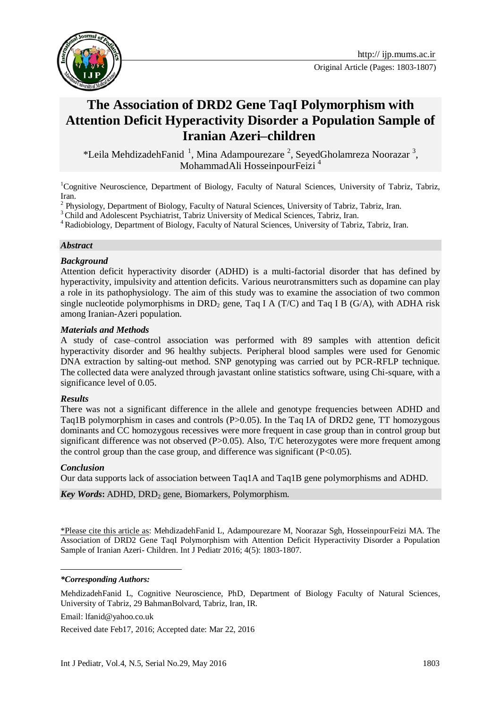



# **The Association of DRD2 Gene TaqI Polymorphism with Attention Deficit Hyperactivity Disorder a Population Sample of Iranian Azeri–children**

\*Leila MehdizadehFanid<sup>1</sup>, Mina Adampourezare<sup>2</sup>, SeyedGholamreza Noorazar<sup>3</sup>, MohammadAli HosseinpourFeizi <sup>4</sup>

<sup>1</sup>Cognitive Neuroscience, Department of Biology, Faculty of Natural Sciences, University of Tabriz, Tabriz, Iran.

2 Physiology, Department of Biology, Faculty of Natural Sciences, University of Tabriz, Tabriz, Iran.

<sup>3</sup> Child and Adolescent Psychiatrist, Tabriz University of Medical Sciences, Tabriz, Iran.

<sup>4</sup> Radiobiology, Department of Biology, Faculty of Natural Sciences, University of Tabriz, Tabriz, Iran.

#### *Abstract*

#### *Background*

Attention deficit hyperactivity disorder (ADHD) is a multi-factorial disorder that has defined by hyperactivity, impulsivity and attention deficits. Various neurotransmitters such as dopamine can play a role in its pathophysiology. The aim of this study was to examine the association of two common single nucleotide polymorphisms in DRD<sub>2</sub> gene, Taq I A (T/C) and Taq I B (G/A), with ADHA risk among Iranian-Azeri population.

#### *Materials and Methods*

A study of case–control association was performed with 89 samples with attention deficit hyperactivity disorder and 96 healthy subjects. Peripheral blood samples were used for Genomic DNA extraction by salting-out method. SNP genotyping was carried out by PCR-RFLP technique. The collected data were analyzed through javastant online statistics software, using Chi-square, with a significance level of 0.05.

#### *Results*

There was not a significant difference in the allele and genotype frequencies between ADHD and Taq1B polymorphism in cases and controls (P $> 0.05$ ). In the Taq IA of DRD2 gene, TT homozygous dominants and CC homozygous recessives were more frequent in case group than in control group but significant difference was not observed (P>0.05). Also, T/C heterozygotes were more frequent among the control group than the case group, and difference was significant  $(P<0.05)$ .

#### *Conclusion*

1

Our data supports lack of association between Taq1A and Taq1B gene polymorphisms and ADHD.

*Key Words*: ADHD, DRD<sub>2</sub> gene, Biomarkers, Polymorphism.

\*Please cite this article as: MehdizadehFanid L, Adampourezare M, Noorazar Sgh, HosseinpourFeizi MA. The Association of DRD2 Gene TaqI Polymorphism with Attention Deficit Hyperactivity Disorder a Population Sample of Iranian Azeri- Children. Int J Pediatr 2016; 4(5): 1803-1807.

#### *\*Corresponding Authors:*

MehdizadehFanid L, Cognitive Neuroscience, PhD, Department of Biology Faculty of Natural Sciences, University of Tabriz, 29 BahmanBolvard, Tabriz, Iran, IR.

Email: lfanid@yahoo.co.uk

Received date Feb17, 2016; Accepted date: Mar 22, 2016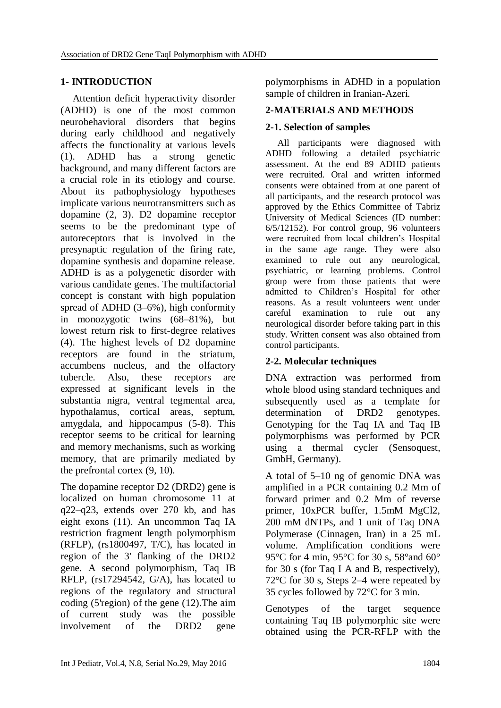### **1- INTRODUCTION**

Attention deficit hyperactivity disorder (ADHD) is one of the most common neurobehavioral disorders that begins during early childhood and negatively affects the functionality at various levels (1). ADHD has a strong genetic background, and many different factors are a crucial role in its etiology and course. About its pathophysiology hypotheses implicate various neurotransmitters such as dopamine (2, 3). D2 dopamine receptor seems to be the predominant type of autoreceptors that is involved in the presynaptic regulation of the firing rate, dopamine synthesis and dopamine release. ADHD is as a polygenetic disorder with various candidate genes. The multifactorial concept is constant with high population spread of ADHD (3–6%), high conformity in monozygotic twins (68–81%), but lowest return risk to first-degree relatives (4). The highest levels of D2 dopamine receptors are found in the striatum, accumbens nucleus, and the olfactory tubercle. Also, these receptors are expressed at significant levels in the substantia nigra, ventral tegmental area, hypothalamus, cortical areas, septum, amygdala, and hippocampus (5-8). This receptor seems to be critical for learning and memory mechanisms, such as working memory, that are primarily mediated by the prefrontal cortex (9, 10).

The dopamine receptor D2 (DRD2) gene is localized on human chromosome 11 at q22–q23, extends over 270 kb, and has eight exons (11). An uncommon Taq IA restriction fragment length polymorphism (RFLP), (rs1800497, T/C), has located in region of the 3' flanking of the DRD2 gene. A second polymorphism, Taq IB RFLP, (rs17294542, G/A), has located to regions of the regulatory and structural coding (5'region) of the gene (12).The aim of current study was the possible involvement of the DRD2 gene

polymorphisms in ADHD in a population sample of children in Iranian-Azeri.

### **2-MATERIALS AND METHODS**

### **2-1. Selection of samples**

All participants were diagnosed with ADHD following a detailed psychiatric assessment. At the end 89 ADHD patients were recruited. Oral and written informed consents were obtained from at one parent of all participants, and the research protocol was approved by the Ethics Committee of Tabriz University of Medical Sciences (ID number: 6/5/12152). For control group, 96 volunteers were recruited from local children's Hospital in the same age range. They were also examined to rule out any neurological, psychiatric, or learning problems. Control group were from those patients that were admitted to Children's Hospital for other reasons. As a result volunteers went under careful examination to rule out any neurological disorder before taking part in this study. Written consent was also obtained from control participants.

## **2-2. Molecular techniques**

DNA extraction was performed from whole blood using standard techniques and subsequently used as a template for determination of DRD2 genotypes. Genotyping for the Taq IA and Taq IB polymorphisms was performed by PCR using a thermal cycler (Sensoquest, GmbH, Germany).

A total of 5–10 ng of genomic DNA was amplified in a PCR containing 0.2 Mm of forward primer and 0.2 Mm of reverse primer, 10xPCR buffer, 1.5mM MgCl2, 200 mM dNTPs, and 1 unit of Taq DNA Polymerase (Cinnagen, Iran) in a 25 mL volume. Amplification conditions were 95°C for 4 min, 95°C for 30 s, 58°and 60° for 30 s (for Taq I A and B, respectively), 72°C for 30 s, Steps 2–4 were repeated by 35 cycles followed by 72°C for 3 min.

Genotypes of the target sequence containing Taq IB polymorphic site were obtained using the PCR-RFLP with the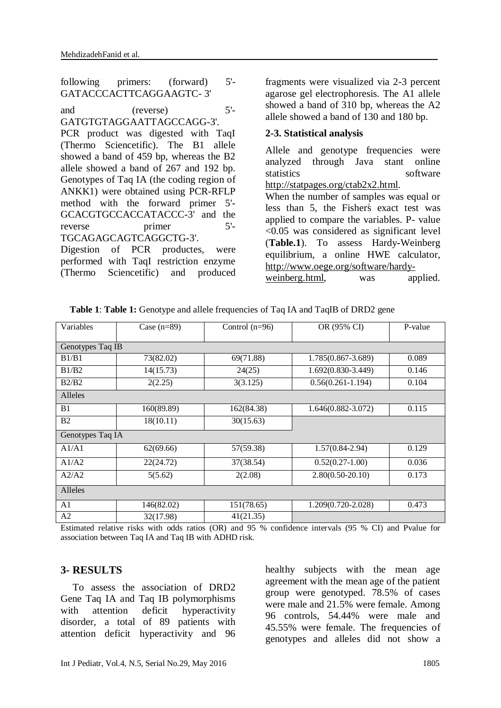following primers: (forward) 5'- GATACCCACTTCAGGAAGTC- 3'

and (reverse) 5'- GATGTGTAGGAATTAGCCAGG-3'. PCR product was digested with TaqI (Thermo Sciencetific). The B1 allele showed a band of 459 bp, whereas the B2 allele showed a band of 267 and 192 bp. Genotypes of Taq IA (the coding region of ANKK1) were obtained using PCR-RFLP method with the forward primer 5'- GCACGTGCCACCATACCC-3' and the reverse primer 5'-TGCAGAGCAGTCAGGCTG-3'.

Digestion of PCR productes, were performed with TaqI restriction enzyme (Thermo Sciencetific) and produced fragments were visualized via 2-3 percent agarose gel electrophoresis. The A1 allele showed a band of 310 bp, whereas the A2 allele showed a band of 130 and 180 bp.

### **2-3. Statistical analysis**

Allele and genotype frequencies were analyzed through Java stant online statistics software [http://statpages.org/ctab2x2.html.](http://statpages.org/ctab2x2.html)

When the number of samples was equal or less than 5, the Fisher's exact test was applied to compare the variables. P- value <0.05 was considered as significant level (**Table.1**). To assess Hardy**-**Weinberg equilibrium, a online HWE calculator, [http://www.oege.org/software/hardy-](http://www.oege.org/software/hardy-weinberg.html)

[weinberg.html,](http://www.oege.org/software/hardy-weinberg.html) was applied.

| Variables        | Case $(n=89)$ | Control $(n=96)$ | OR (95% CI)            | P-value |
|------------------|---------------|------------------|------------------------|---------|
| Genotypes Taq IB |               |                  |                        |         |
| B1/B1            | 73(82.02)     | 69(71.88)        | 1.785(0.867-3.689)     | 0.089   |
| B1/B2            | 14(15.73)     | 24(25)           | 1.692(0.830-3.449)     | 0.146   |
| B2/B2            | 2(2.25)       | 3(3.125)         | $0.56(0.261 - 1.194)$  | 0.104   |
| Alleles          |               |                  |                        |         |
| B1               | 160(89.89)    | 162(84.38)       | $1.646(0.882 - 3.072)$ | 0.115   |
| B <sub>2</sub>   | 18(10.11)     | 30(15.63)        |                        |         |
| Genotypes Taq IA |               |                  |                        |         |
| A1/A1            | 62(69.66)     | 57(59.38)        | $1.57(0.84-2.94)$      | 0.129   |
| A1/A2            | 22(24.72)     | 37(38.54)        | $0.52(0.27-1.00)$      | 0.036   |
| A2/A2            | 5(5.62)       | 2(2.08)          | $2.80(0.50-20.10)$     | 0.173   |
| Alleles          |               |                  |                        |         |
| A1               | 146(82.02)    | 151(78.65)       | 1.209(0.720-2.028)     | 0.473   |
| A2               | 32(17.98)     | 41(21.35)        |                        |         |

 **Table 1**: **Table 1:** Genotype and allele frequencies of Taq IA and TaqIB of DRD2 gene

Estimated relative risks with odds ratios (OR) and 95 % confidence intervals (95 % CI) and Pvalue for association between Taq IA and Taq IB with ADHD risk.

### **3- RESULTS**

To assess the association of DRD2 Gene Taq IA and Taq IB polymorphisms with attention deficit hyperactivity disorder, a total of 89 patients with attention deficit hyperactivity and 96

healthy subjects with the mean age agreement with the mean age of the patient group were genotyped. 78.5% of cases were male and 21.5% were female. Among 96 controls, 54.44% were male and 45.55% were female. The frequencies of genotypes and alleles did not show a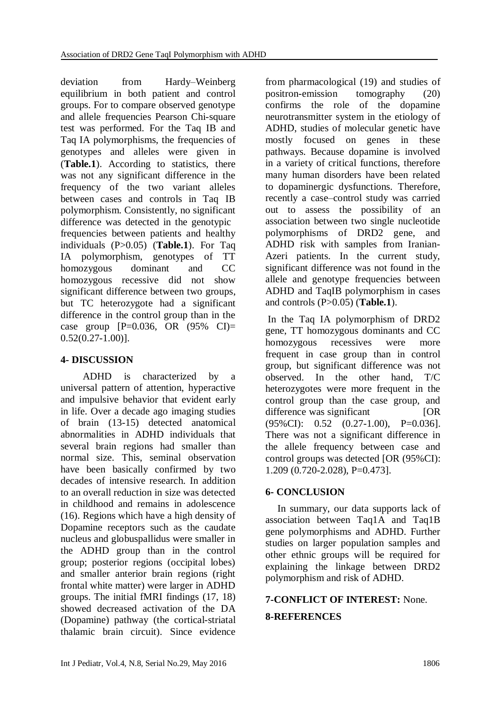deviation from Hardy–Weinberg equilibrium in both patient and control groups. For to compare observed genotype and allele frequencies Pearson Chi-square test was performed. For the Taq IB and Taq IA polymorphisms, the frequencies of genotypes and alleles were given in (**Table.1**). According to statistics, there was not any significant difference in the frequency of the two variant alleles between cases and controls in Taq IB polymorphism. Consistently, no significant difference was detected in the genotypic frequencies between patients and healthy individuals (P>0.05) (**Table.1**). For Taq IA polymorphism, genotypes of TT homozygous dominant and CC homozygous recessive did not show significant difference between two groups, but TC heterozygote had a significant difference in the control group than in the case group  $[P=0.036, OR (95% CI)$  $0.52(0.27-1.00)$ ].

## **4- DISCUSSION**

 ADHD is characterized by a universal pattern of attention, hyperactive and impulsive behavior that evident early in life. Over a decade ago imaging studies of brain (13-15) detected anatomical abnormalities in ADHD individuals that several brain regions had smaller than normal size. This, seminal observation have been basically confirmed by two decades of intensive research. In addition to an overall reduction in size was detected in childhood and remains in adolescence (16). Regions which have a high density of Dopamine receptors such as the caudate nucleus and globuspallidus were smaller in the ADHD group than in the control group; posterior regions (occipital lobes) and smaller anterior brain regions (right frontal white matter) were larger in ADHD groups. The initial fMRI findings (17, 18) showed decreased activation of the DA (Dopamine) pathway (the cortical-striatal thalamic brain circuit). Since evidence

from pharmacological (19) and studies of positron-emission tomography (20) confirms the role of the dopamine neurotransmitter system in the etiology of ADHD, studies of molecular genetic have mostly focused on genes in these pathways. Because dopamine is involved in a variety of critical functions, therefore many human disorders have been related to dopaminergic dysfunctions. Therefore, recently a case–control study was carried out to assess the possibility of an association between two single nucleotide polymorphisms of DRD2 gene, and ADHD risk with samples from Iranian-Azeri patients. In the current study, significant difference was not found in the allele and genotype frequencies between ADHD and TaqIB polymorphism in cases and controls (P>0.05) (**Table.1**).

In the Taq IA polymorphism of DRD2 gene, TT homozygous dominants and CC homozygous recessives were more frequent in case group than in control group, but significant difference was not observed. In the other hand, T/C heterozygotes were more frequent in the control group than the case group, and difference was significant [OR] (95%CI): 0.52 (0.27-1.00), P=0.036]. There was not a significant difference in the allele frequency between case and control groups was detected [OR (95%CI): 1.209 (0.720-2.028), P=0.473].

## **6- CONCLUSION**

In summary, our data supports lack of association between Taq1A and Taq1B gene polymorphisms and ADHD. Further studies on larger population samples and other ethnic groups will be required for explaining the linkage between DRD2 polymorphism and risk of ADHD.

# **7-CONFLICT OF INTEREST:** None. **8-REFERENCES**